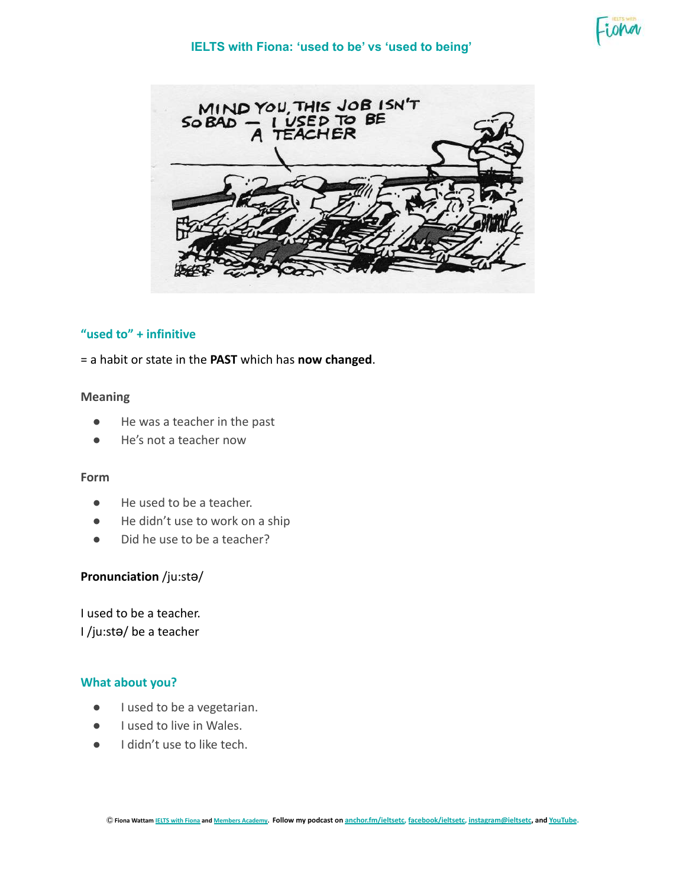

# **"used to" + infinitive**

= a habit or state in the **PAST** which has **now changed**.

#### **Meaning**

- He was a teacher in the past
- He's not a teacher now

#### **Form**

- He used to be a teacher.
- He didn't use to work on a ship
- Did he use to be a teacher?

## **Pronunciation** /ju:stə/

I used to be a teacher. I /ju:stə/ be a teacher

### **What about you?**

- I used to be a vegetarian.
- I used to live in Wales.
- I didn't use to like tech.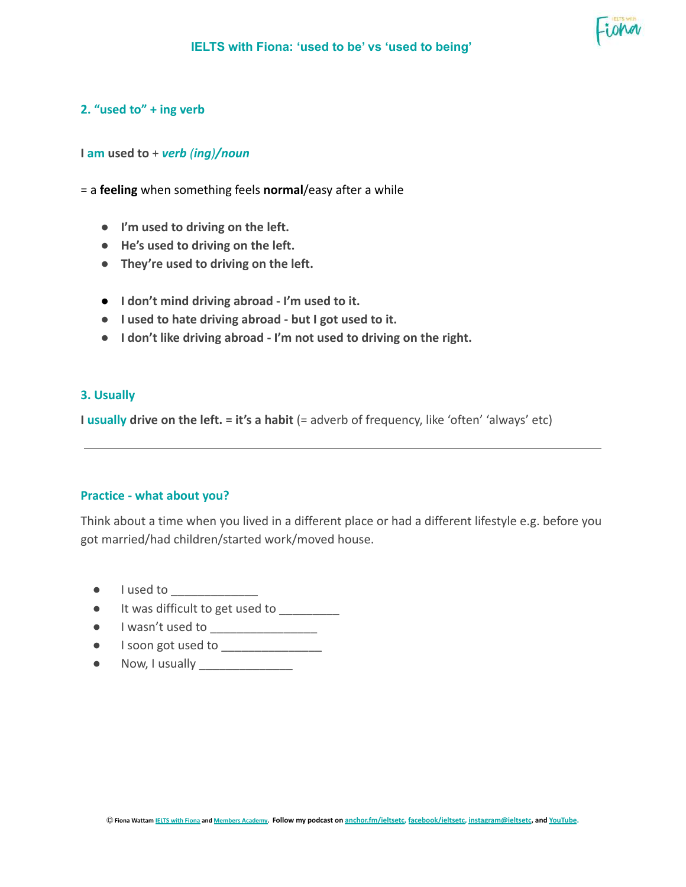

### **2. "used to" + ing verb**

#### **I am used to** + *verb (ing)/noun*

= a **feeling** when something feels **normal**/easy after a while

- **● I'm used to driving on the left.**
- **● He's used to driving on the left.**
- **● They're used to driving on the left.**
- **● I don't mind driving abroad I'm used to it.**
- **● I used to hate driving abroad but I got used to it.**
- **● I don't like driving abroad I'm not used to driving on the right.**

#### **3. Usually**

**I usually drive on the left. = it's a habit** (= adverb of frequency, like 'often' 'always' etc)

## **Practice - what about you?**

Think about a time when you lived in a different place or had a different lifestyle e.g. before you got married/had children/started work/moved house.

- I used to \_\_\_\_\_\_\_\_\_\_\_\_\_
- It was difficult to get used to \_\_\_\_\_\_\_\_\_
- I wasn't used to \_\_\_\_\_\_\_\_\_\_\_\_\_\_\_\_
- I soon got used to \_\_\_\_\_\_\_\_\_\_\_\_\_\_\_
- $\bullet$  Now, I usually  $\qquad \qquad \overline{\qquad \qquad }$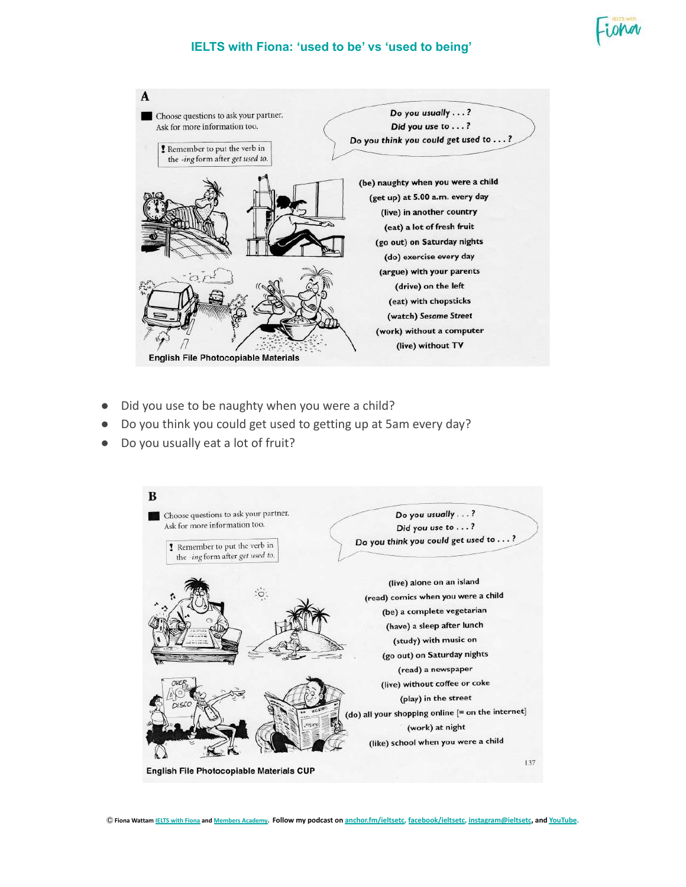

## **IELTS with Fiona: 'used to be' vs 'used to being'**



- Did you use to be naughty when you were a child?
- Do you think you could get used to getting up at 5am every day?
- Do you usually eat a lot of fruit?